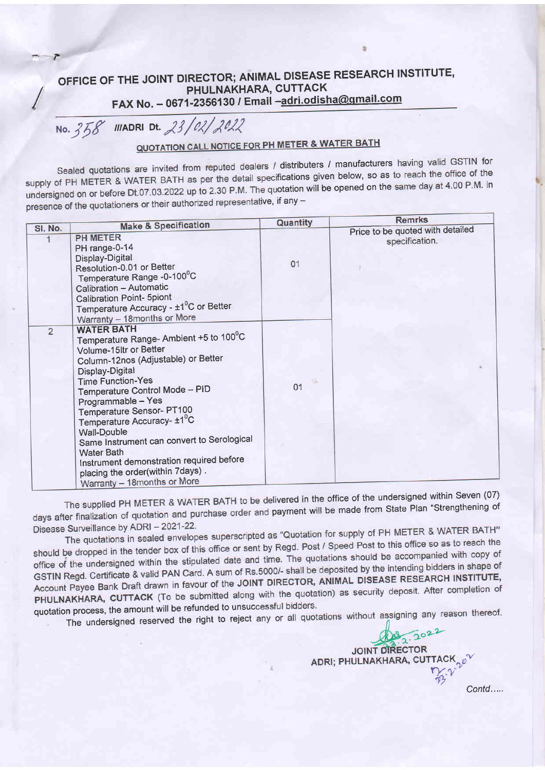## OFFICE OF THE JOINT DIRECTOR; ANIMAL DISEASE RESEARCH INSTITUTE, PHULNAKHARA, CUTTACK FAX No. - 0671-2356130 / Email -adri.odisha@gmail.com

No. 358 IIIADRI Dt. 23/02/2022

## **QUOTATION CALL NOTICE FOR PH METER & WATER BATH**

Sealed quotations are invited from reputed dealers / distributers / manufacturers having valid GSTIN for supply of PH METER & WATER BATH as per the detail specifications given below, so as to reach the office of the undersigned on or before Dt.07.03.2022 up to 2.30 P.M. The quotation will be opened on the same day at 4.00 P.M. in presence of the quotationers or their authorized representative, if any -

|                | <b>Make &amp; Specification</b>                                                                                                                                                                                                                                                                                                                                                                                                                                                                                           | Quantity | <b>Remrks</b>                                      |
|----------------|---------------------------------------------------------------------------------------------------------------------------------------------------------------------------------------------------------------------------------------------------------------------------------------------------------------------------------------------------------------------------------------------------------------------------------------------------------------------------------------------------------------------------|----------|----------------------------------------------------|
| SI. No.        | <b>PH METER</b><br>PH range-0-14<br>Display-Digital<br>Resolution-0.01 or Better<br>Temperature Range -0-100°C<br>Calibration - Automatic<br><b>Calibration Point- 5piont</b><br>Temperature Accuracy - ±1 <sup>0</sup> C or Better<br>Warranty - 18 months or More                                                                                                                                                                                                                                                       | 01       | Price to be quoted with detailed<br>specification. |
| $\overline{2}$ | <b>WATER BATH</b><br>Temperature Range- Ambient +5 to 100°C<br>Volume-15ltr or Better<br>Column-12nos (Adjustable) or Better<br>Display-Digital<br><b>Time Function-Yes</b><br>Temperature Control Mode - PID<br>Programmable - Yes<br><b>Temperature Sensor-PT100</b><br>Temperature Accuracy- ±1 <sup>°</sup> C<br><b>Wall-Double</b><br>Same Instrument can convert to Serological<br><b>Water Bath</b><br>Instrument demonstration required before<br>placing the order(within 7days).<br>Warranty - 18months or More | 01       |                                                    |

The supplied PH METER & WATER BATH to be delivered in the office of the undersigned within Seven (07) days after finalization of quotation and purchase order and payment will be made from State Plan "Strengthening of Disease Surveillance by ADRI - 2021-22.

The quotations in sealed envelopes superscripted as "Quotation for supply of PH METER & WATER BATH" should be dropped in the tender box of this office or sent by Regd. Post / Speed Post to this office so as to reach the office of the undersigned within the stipulated date and time. The quotations should be accompanied with copy of GSTIN Regd. Certificate & valid PAN Card. A sum of Rs.5000/- shall be deposited by the intending bidders in shape of Account Payee Bank Draft drawn in favour of the JOINT DIRECTOR, ANIMAL DISEASE RESEARCH INSTITUTE, PHULNAKHARA, CUTTACK (To be submitted along with the quotation) as security deposit. After completion of quotation process, the amount will be refunded to unsuccessful bidders.

The undersigned reserved the right to reject any or all quotations without assigning any reason thereof.

JOINT DIRECTOR ADRI; PHULNAKHARA, CUTTACK 0 Contd.....